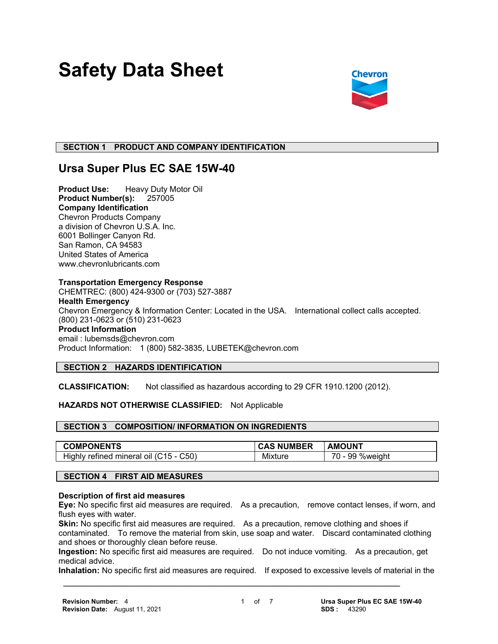# **Safety Data Sheet**



# **SECTION 1 PRODUCT AND COMPANY IDENTIFICATION**

# **Ursa Super Plus EC SAE 15W-40**

**Product Use:** Heavy Duty Motor Oil **Product Number(s):** 257005 **Company Identification** Chevron Products Company a division of Chevron U.S.A. Inc. 6001 Bollinger Canyon Rd. San Ramon, CA 94583 United States of America www.chevronlubricants.com

#### **Transportation Emergency Response**

CHEMTREC: (800) 424-9300 or (703) 527-3887 **Health Emergency** Chevron Emergency & Information Center: Located in the USA. International collect calls accepted. (800) 231-0623 or (510) 231-0623 **Product Information** email : lubemsds@chevron.com Product Information: 1 (800) 582-3835, LUBETEK@chevron.com

# **SECTION 2 HAZARDS IDENTIFICATION**

**CLASSIFICATION:** Not classified as hazardous according to 29 CFR 1910.1200 (2012).

# **HAZARDS NOT OTHERWISE CLASSIFIED:** Not Applicable

# **SECTION 3 COMPOSITION/ INFORMATION ON INGREDIENTS**

| <b>COMPONENTS</b>                                 | <b>JMBER</b><br>NU. | AMOUNT                                                |
|---------------------------------------------------|---------------------|-------------------------------------------------------|
| C50)<br>Highly<br>mineral<br>refined<br>46<br>ΩIJ | .<br>Mixture        | $\overline{\phantom{a}}$<br>99<br><b>%weight</b><br>. |

# **SECTION 4 FIRST AID MEASURES**

#### **Description of first aid measures**

**Eye:** No specific first aid measures are required. As a precaution, remove contact lenses, if worn, and flush eyes with water.

**Skin:** No specific first aid measures are required. As a precaution, remove clothing and shoes if contaminated. To remove the material from skin, use soap and water. Discard contaminated clothing and shoes or thoroughly clean before reuse.

**Ingestion:** No specific first aid measures are required. Do not induce vomiting. As a precaution, get medical advice.

**Inhalation:** No specific first aid measures are required. If exposed to excessive levels of material in the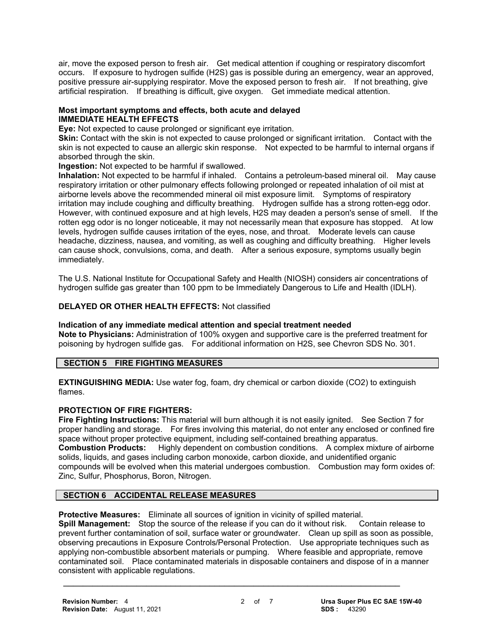air, move the exposed person to fresh air. Get medical attention if coughing or respiratory discomfort occurs. If exposure to hydrogen sulfide (H2S) gas is possible during an emergency, wear an approved, positive pressure air-supplying respirator. Move the exposed person to fresh air. If not breathing, give artificial respiration. If breathing is difficult, give oxygen. Get immediate medical attention.

# **Most important symptoms and effects, both acute and delayed IMMEDIATE HEALTH EFFECTS**

**Eye:** Not expected to cause prolonged or significant eye irritation.

**Skin:** Contact with the skin is not expected to cause prolonged or significant irritation. Contact with the skin is not expected to cause an allergic skin response. Not expected to be harmful to internal organs if absorbed through the skin.

**Ingestion:** Not expected to be harmful if swallowed.

**Inhalation:** Not expected to be harmful if inhaled. Contains a petroleum-based mineral oil. May cause respiratory irritation or other pulmonary effects following prolonged or repeated inhalation of oil mist at airborne levels above the recommended mineral oil mist exposure limit. Symptoms of respiratory irritation may include coughing and difficulty breathing. Hydrogen sulfide has a strong rotten-egg odor. However, with continued exposure and at high levels, H2S may deaden a person's sense of smell. If the rotten egg odor is no longer noticeable, it may not necessarily mean that exposure has stopped. At low levels, hydrogen sulfide causes irritation of the eyes, nose, and throat. Moderate levels can cause headache, dizziness, nausea, and vomiting, as well as coughing and difficulty breathing. Higher levels can cause shock, convulsions, coma, and death. After a serious exposure, symptoms usually begin immediately.

The U.S. National Institute for Occupational Safety and Health (NIOSH) considers air concentrations of hydrogen sulfide gas greater than 100 ppm to be Immediately Dangerous to Life and Health (IDLH).

# **DELAYED OR OTHER HEALTH EFFECTS:** Not classified

**Indication of any immediate medical attention and special treatment needed Note to Physicians:** Administration of 100% oxygen and supportive care is the preferred treatment for poisoning by hydrogen sulfide gas. For additional information on H2S, see Chevron SDS No. 301.

# **SECTION 5 FIRE FIGHTING MEASURES**

**EXTINGUISHING MEDIA:** Use water fog, foam, dry chemical or carbon dioxide (CO2) to extinguish flames.

# **PROTECTION OF FIRE FIGHTERS:**

**Fire Fighting Instructions:** This material will burn although it is not easily ignited. See Section 7 for proper handling and storage. For fires involving this material, do not enter any enclosed or confined fire space without proper protective equipment, including self-contained breathing apparatus.<br>**Combustion Products:** Highly dependent on combustion conditions. A complex mix Highly dependent on combustion conditions. A complex mixture of airborne solids, liquids, and gases including carbon monoxide, carbon dioxide, and unidentified organic compounds will be evolved when this material undergoes combustion. Combustion may form oxides of:

# Zinc, Sulfur, Phosphorus, Boron, Nitrogen.

# **SECTION 6 ACCIDENTAL RELEASE MEASURES**

**Protective Measures:** Eliminate all sources of ignition in vicinity of spilled material.

**Spill Management:** Stop the source of the release if you can do it without risk. Contain release to prevent further contamination of soil, surface water or groundwater. Clean up spill as soon as possible, observing precautions in Exposure Controls/Personal Protection. Use appropriate techniques such as applying non-combustible absorbent materials or pumping. Where feasible and appropriate, remove contaminated soil. Place contaminated materials in disposable containers and dispose of in a manner consistent with applicable regulations.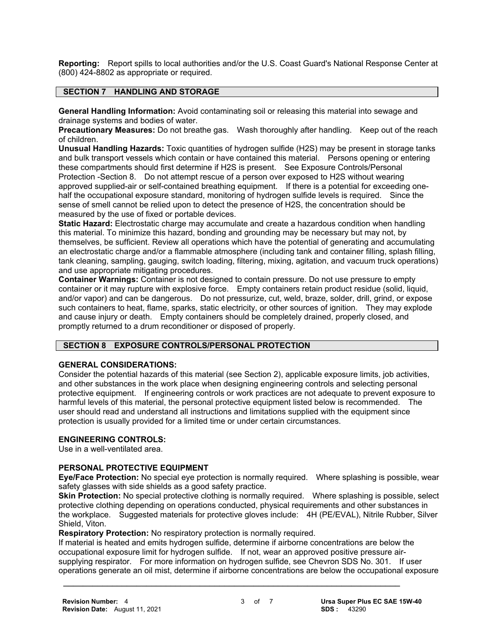**Reporting:** Report spills to local authorities and/or the U.S. Coast Guard's National Response Center at (800) 424-8802 as appropriate or required.

# **SECTION 7 HANDLING AND STORAGE**

**General Handling Information:** Avoid contaminating soil or releasing this material into sewage and drainage systems and bodies of water.

**Precautionary Measures:** Do not breathe gas. Wash thoroughly after handling. Keep out of the reach of children.

**Unusual Handling Hazards:** Toxic quantities of hydrogen sulfide (H2S) may be present in storage tanks and bulk transport vessels which contain or have contained this material. Persons opening or entering these compartments should first determine if H2S is present. See Exposure Controls/Personal Protection -Section 8. Do not attempt rescue of a person over exposed to H2S without wearing approved supplied-air or self-contained breathing equipment. If there is a potential for exceeding onehalf the occupational exposure standard, monitoring of hydrogen sulfide levels is required. Since the sense of smell cannot be relied upon to detect the presence of H2S, the concentration should be measured by the use of fixed or portable devices.

**Static Hazard:** Electrostatic charge may accumulate and create a hazardous condition when handling this material. To minimize this hazard, bonding and grounding may be necessary but may not, by themselves, be sufficient. Review all operations which have the potential of generating and accumulating an electrostatic charge and/or a flammable atmosphere (including tank and container filling, splash filling, tank cleaning, sampling, gauging, switch loading, filtering, mixing, agitation, and vacuum truck operations) and use appropriate mitigating procedures.

**Container Warnings:** Container is not designed to contain pressure. Do not use pressure to empty container or it may rupture with explosive force. Empty containers retain product residue (solid, liquid, and/or vapor) and can be dangerous. Do not pressurize, cut, weld, braze, solder, drill, grind, or expose such containers to heat, flame, sparks, static electricity, or other sources of ignition. They may explode and cause injury or death. Empty containers should be completely drained, properly closed, and promptly returned to a drum reconditioner or disposed of properly.

# **SECTION 8 EXPOSURE CONTROLS/PERSONAL PROTECTION**

# **GENERAL CONSIDERATIONS:**

Consider the potential hazards of this material (see Section 2), applicable exposure limits, job activities, and other substances in the work place when designing engineering controls and selecting personal protective equipment. If engineering controls or work practices are not adequate to prevent exposure to harmful levels of this material, the personal protective equipment listed below is recommended. The user should read and understand all instructions and limitations supplied with the equipment since protection is usually provided for a limited time or under certain circumstances.

# **ENGINEERING CONTROLS:**

Use in a well-ventilated area.

# **PERSONAL PROTECTIVE EQUIPMENT**

**Eye/Face Protection:** No special eye protection is normally required. Where splashing is possible, wear safety glasses with side shields as a good safety practice.

**Skin Protection:** No special protective clothing is normally required. Where splashing is possible, select protective clothing depending on operations conducted, physical requirements and other substances in the workplace. Suggested materials for protective gloves include: 4H (PE/EVAL), Nitrile Rubber, Silver Shield, Viton.

**Respiratory Protection:** No respiratory protection is normally required.

If material is heated and emits hydrogen sulfide, determine if airborne concentrations are below the occupational exposure limit for hydrogen sulfide. If not, wear an approved positive pressure airsupplying respirator. For more information on hydrogen sulfide, see Chevron SDS No. 301. If user operations generate an oil mist, determine if airborne concentrations are below the occupational exposure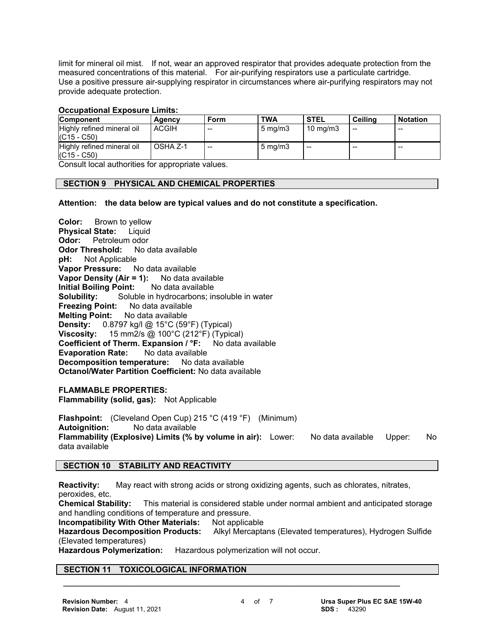limit for mineral oil mist. If not, wear an approved respirator that provides adequate protection from the measured concentrations of this material. For air-purifying respirators use a particulate cartridge. Use a positive pressure air-supplying respirator in circumstances where air-purifying respirators may not provide adequate protection.

#### **Occupational Exposure Limits:**

| <b>Component</b>           | Agency       | Form  | <b>TWA</b>         | <b>STEL</b>         | Ceilina | ∣ Notation |
|----------------------------|--------------|-------|--------------------|---------------------|---------|------------|
| Highly refined mineral oil | <b>ACGIH</b> | $- -$ | $5 \text{ ma/m}$ 3 | $10 \text{ ma/m}$ 3 | --      | --         |
| $(C15 - C50)$              |              |       |                    |                     |         |            |
| Highly refined mineral oil | OSHA Z-1     | $- -$ | $5 \text{ mg/m}$   | $- -$               | $-$     | --         |
| $(C15 - C50)$              |              |       |                    |                     |         |            |

Consult local authorities for appropriate values.

# **SECTION 9 PHYSICAL AND CHEMICAL PROPERTIES**

**Attention: the data below are typical values and do not constitute a specification.**

**Color:** Brown to yellow **Physical State:** Liquid **Odor:** Petroleum odor **Odor Threshold:** No data available **pH:** Not Applicable **Vapor Pressure:** No data available **Vapor Density (Air = 1):** No data available **Initial Boiling Point:** No data available **Solubility:** Soluble in hydrocarbons; insoluble in water **Freezing Point:** No data available **Melting Point:** No data available **Density:** 0.8797 kg/l @ 15°C (59°F) (Typical) **Viscosity:** 15 mm2/s @ 100°C (212°F) (Typical) **Coefficient of Therm. Expansion / °F:** No data available **Evaporation Rate:** No data available **Decomposition temperature:** No data available **Octanol/Water Partition Coefficient:** No data available

**FLAMMABLE PROPERTIES: Flammability (solid, gas):** Not Applicable

**Flashpoint:** (Cleveland Open Cup) 215 °C (419 °F) (Minimum) **Autoignition:** No data available **Flammability (Explosive) Limits (% by volume in air):** Lower: No data available Upper: No data available

# **SECTION 10 STABILITY AND REACTIVITY**

**Reactivity:** May react with strong acids or strong oxidizing agents, such as chlorates, nitrates, peroxides, etc.

 **\_\_\_\_\_\_\_\_\_\_\_\_\_\_\_\_\_\_\_\_\_\_\_\_\_\_\_\_\_\_\_\_\_\_\_\_\_\_\_\_\_\_\_\_\_\_\_\_\_\_\_\_\_\_\_\_\_\_\_\_\_\_\_\_\_\_\_\_\_**

**Chemical Stability:** This material is considered stable under normal ambient and anticipated storage and handling conditions of temperature and pressure.

**Incompatibility With Other Materials:** Not applicable

**Hazardous Decomposition Products:** Alkyl Mercaptans (Elevated temperatures), Hydrogen Sulfide (Elevated temperatures)

**Hazardous Polymerization:** Hazardous polymerization will not occur.

# **SECTION 11 TOXICOLOGICAL INFORMATION**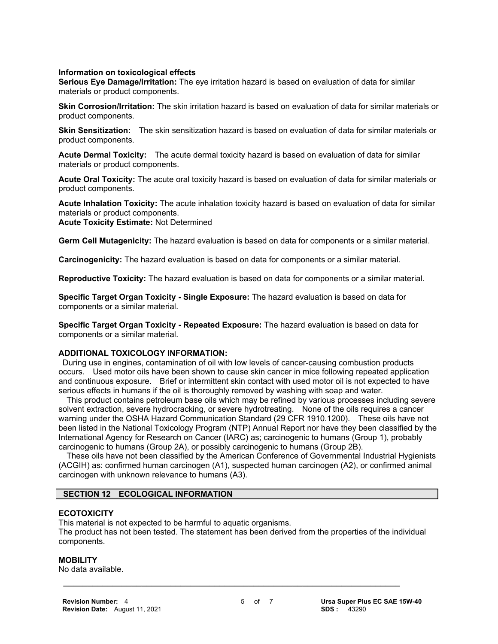#### **Information on toxicological effects**

**Serious Eye Damage/Irritation:** The eye irritation hazard is based on evaluation of data for similar materials or product components.

**Skin Corrosion/Irritation:** The skin irritation hazard is based on evaluation of data for similar materials or product components.

**Skin Sensitization:** The skin sensitization hazard is based on evaluation of data for similar materials or product components.

**Acute Dermal Toxicity:** The acute dermal toxicity hazard is based on evaluation of data for similar materials or product components.

**Acute Oral Toxicity:** The acute oral toxicity hazard is based on evaluation of data for similar materials or product components.

**Acute Inhalation Toxicity:** The acute inhalation toxicity hazard is based on evaluation of data for similar materials or product components. **Acute Toxicity Estimate:** Not Determined

**Germ Cell Mutagenicity:** The hazard evaluation is based on data for components or a similar material.

**Carcinogenicity:** The hazard evaluation is based on data for components or a similar material.

**Reproductive Toxicity:** The hazard evaluation is based on data for components or a similar material.

**Specific Target Organ Toxicity - Single Exposure:** The hazard evaluation is based on data for components or a similar material.

**Specific Target Organ Toxicity - Repeated Exposure:** The hazard evaluation is based on data for components or a similar material.

#### **ADDITIONAL TOXICOLOGY INFORMATION:**

 During use in engines, contamination of oil with low levels of cancer-causing combustion products occurs. Used motor oils have been shown to cause skin cancer in mice following repeated application and continuous exposure. Brief or intermittent skin contact with used motor oil is not expected to have serious effects in humans if the oil is thoroughly removed by washing with soap and water.

 This product contains petroleum base oils which may be refined by various processes including severe solvent extraction, severe hydrocracking, or severe hydrotreating. None of the oils requires a cancer warning under the OSHA Hazard Communication Standard (29 CFR 1910.1200). These oils have not been listed in the National Toxicology Program (NTP) Annual Report nor have they been classified by the International Agency for Research on Cancer (IARC) as; carcinogenic to humans (Group 1), probably carcinogenic to humans (Group 2A), or possibly carcinogenic to humans (Group 2B).

 These oils have not been classified by the American Conference of Governmental Industrial Hygienists (ACGIH) as: confirmed human carcinogen (A1), suspected human carcinogen (A2), or confirmed animal carcinogen with unknown relevance to humans (A3).

#### **SECTION 12 ECOLOGICAL INFORMATION**

#### **ECOTOXICITY**

This material is not expected to be harmful to aquatic organisms. The product has not been tested. The statement has been derived from the properties of the individual components.

 **\_\_\_\_\_\_\_\_\_\_\_\_\_\_\_\_\_\_\_\_\_\_\_\_\_\_\_\_\_\_\_\_\_\_\_\_\_\_\_\_\_\_\_\_\_\_\_\_\_\_\_\_\_\_\_\_\_\_\_\_\_\_\_\_\_\_\_\_\_**

#### **MOBILITY**

No data available.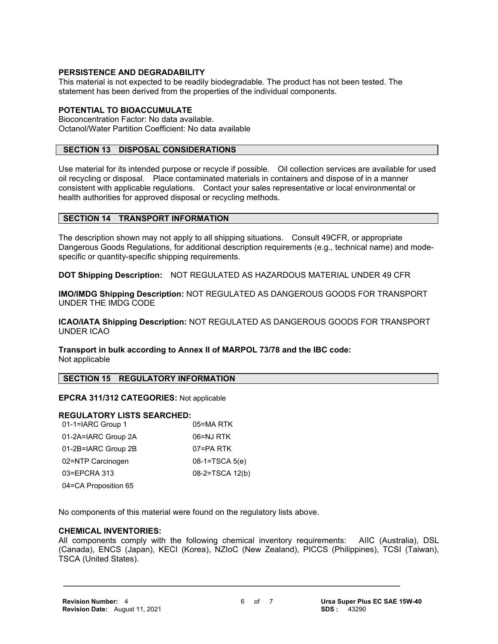#### **PERSISTENCE AND DEGRADABILITY**

This material is not expected to be readily biodegradable. The product has not been tested. The statement has been derived from the properties of the individual components.

#### **POTENTIAL TO BIOACCUMULATE**

Bioconcentration Factor: No data available. Octanol/Water Partition Coefficient: No data available

#### **SECTION 13 DISPOSAL CONSIDERATIONS**

Use material for its intended purpose or recycle if possible. Oil collection services are available for used oil recycling or disposal. Place contaminated materials in containers and dispose of in a manner consistent with applicable regulations. Contact your sales representative or local environmental or health authorities for approved disposal or recycling methods.

#### **SECTION 14 TRANSPORT INFORMATION**

The description shown may not apply to all shipping situations. Consult 49CFR, or appropriate Dangerous Goods Regulations, for additional description requirements (e.g., technical name) and modespecific or quantity-specific shipping requirements.

**DOT Shipping Description:** NOT REGULATED AS HAZARDOUS MATERIAL UNDER 49 CFR

**IMO/IMDG Shipping Description:** NOT REGULATED AS DANGEROUS GOODS FOR TRANSPORT UNDER THE IMDG CODE

**ICAO/IATA Shipping Description:** NOT REGULATED AS DANGEROUS GOODS FOR TRANSPORT UNDER ICAO

**Transport in bulk according to Annex II of MARPOL 73/78 and the IBC code:** Not applicable

#### **SECTION 15 REGULATORY INFORMATION**

**EPCRA 311/312 CATEGORIES:** Not applicable

#### **REGULATORY LISTS SEARCHED:**

| 01-1=IARC Group 1    | 05=MA RTK        |
|----------------------|------------------|
| 01-2A=IARC Group 2A  | 06=NJ RTK        |
| 01-2B=IARC Group 2B  | 07=PA RTK        |
| 02=NTP Carcinogen    | $08-1=TSCA 5(e)$ |
| 03=EPCRA 313         | 08-2=TSCA 12(b)  |
| 04=CA Proposition 65 |                  |

No components of this material were found on the regulatory lists above.

#### **CHEMICAL INVENTORIES:**

All components comply with the following chemical inventory requirements: AIIC (Australia), DSL (Canada), ENCS (Japan), KECI (Korea), NZIoC (New Zealand), PICCS (Philippines), TCSI (Taiwan), TSCA (United States).